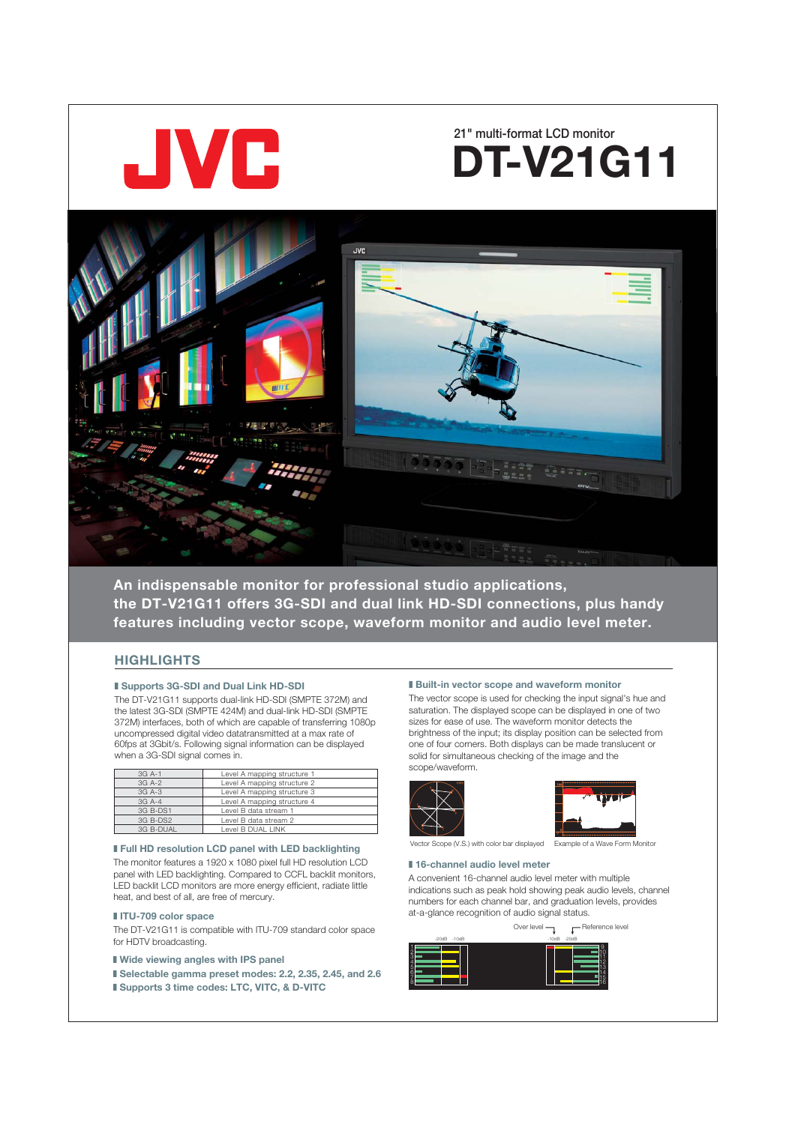

# **21" multi-format LCD monitor DT-V21G11**



**An indispensable monitor for professional studio applications, the DT-V21G11 offers 3G-SDI and dual link HD-SDI connections, plus handy features including vector scope, waveform monitor and audio level meter.** 

# **HIGHLIGHTS**

# ■ Supports 3G-SDI and Dual Link HD-SDI

The DT-V21G11 supports dual-link HD-SDI (SMPTE 372M) and the latest 3G-SDI (SMPTE 424M) and dual-link HD-SDI (SMPTE 372M) interfaces, both of which are capable of transferring 1080p uncompressed digital video datatransmitted at a max rate of 60fps at 3Gbit/s. Following signal information can be displayed when a 3G-SDI signal comes in.

| 3G A-1    | Level A mapping structure 1 |
|-----------|-----------------------------|
| 3G A-2    | Level A mapping structure 2 |
| 3G A-3    | Level A mapping structure 3 |
| $3G$ A-4  | Level A mapping structure 4 |
| 3G B-DS1  | Level B data stream 1       |
| 3G B-DS2  | Level B data stream 2       |
| 3G B-DUAL | Level B DUAL LINK           |

# ■ Full HD resolution LCD panel with LED backlighting

The monitor features a 1920 x 1080 pixel full HD resolution LCD panel with LED backlighting. Compared to CCFL backlit monitors, LED backlit LCD monitors are more energy efficient, radiate little heat, and best of all, are free of mercury.

The DT-V21G11 is compatible with ITU-709 standard color space for HDTV broadcasting.

■ Wide viewing angles with IPS panel

■ Selectable gamma preset modes: 2.2, 2.35, 2.45, and 2.6 ■ Supports 3 time codes: LTC, VITC, & D-VITC

# **■ Built-in vector scope and waveform monitor**

The vector scope is used for checking the input signal's hue and saturation. The displayed scope can be displayed in one of two sizes for ease of use. The waveform monitor detects the brightness of the input; its display position can be selected from one of four corners. Both displays can be made translucent or solid for simultaneous checking of the image and the scope/waveform.





Vector Scope (V.S.) with color bar displayed Example of a Wave Form Monitor

# ■ 16-channel audio level meter

A convenient 16-channel audio level meter with multiple indications such as peak hold showing peak audio levels, channel numbers for each channel bar, and graduation levels, provides ■ **ITU-709 color space ■ interval interval status. at-a-glance recognition of audio signal status.**